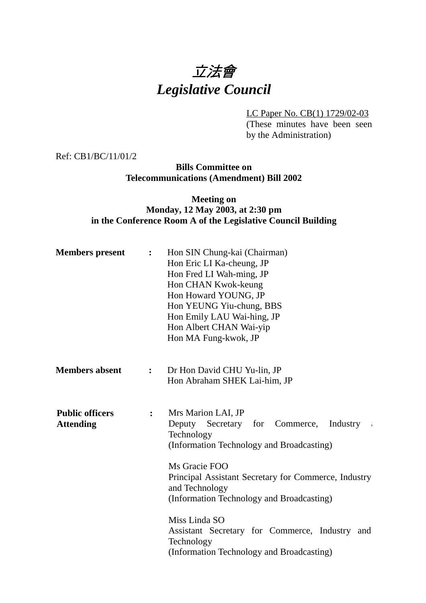# 立法會 *Legislative Council*

LC Paper No. CB(1) 1729/02-03

(These minutes have been seen by the Administration)

Ref: CB1/BC/11/01/2

# **Bills Committee on Telecommunications (Amendment) Bill 2002**

# **Meeting on Monday, 12 May 2003, at 2:30 pm in the Conference Room A of the Legislative Council Building**

| <b>Members</b> present                     | $\ddot{\cdot}$                                                                                                                                                                                                                                                                             | Hon SIN Chung-kai (Chairman)<br>Hon Eric LI Ka-cheung, JP<br>Hon Fred LI Wah-ming, JP<br>Hon CHAN Kwok-keung<br>Hon Howard YOUNG, JP<br>Hon YEUNG Yiu-chung, BBS<br>Hon Emily LAU Wai-hing, JP<br>Hon Albert CHAN Wai-yip<br>Hon MA Fung-kwok, JP |
|--------------------------------------------|--------------------------------------------------------------------------------------------------------------------------------------------------------------------------------------------------------------------------------------------------------------------------------------------|---------------------------------------------------------------------------------------------------------------------------------------------------------------------------------------------------------------------------------------------------|
| <b>Members absent</b>                      | $\ddot{\cdot}$                                                                                                                                                                                                                                                                             | Dr Hon David CHU Yu-lin, JP<br>Hon Abraham SHEK Lai-him, JP                                                                                                                                                                                       |
| <b>Public officers</b><br><b>Attending</b> | Mrs Marion LAI, JP<br>$\ddot{\cdot}$<br>Deputy Secretary for Commerce,<br>Technology<br>(Information Technology and Broadcasting)<br>Ms Gracie FOO<br>Principal Assistant Secretary for Commerce, Industry<br>and Technology<br>(Information Technology and Broadcasting)<br>Miss Linda SO |                                                                                                                                                                                                                                                   |
|                                            |                                                                                                                                                                                                                                                                                            | Assistant Secretary for Commerce, Industry and<br>Technology<br>(Information Technology and Broadcasting)                                                                                                                                         |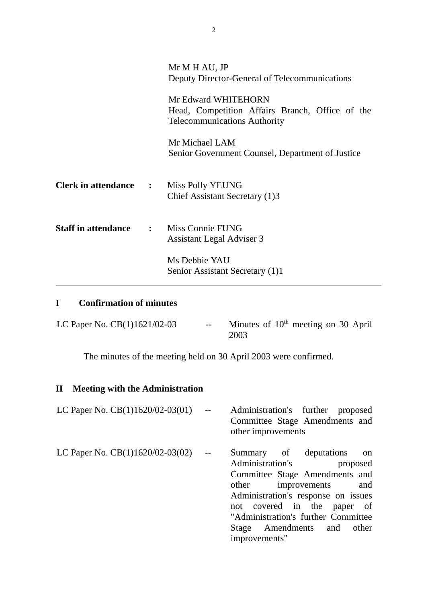|                                | Mr M H AU, JP<br>Deputy Director-General of Telecommunications                                                |
|--------------------------------|---------------------------------------------------------------------------------------------------------------|
|                                | Mr Edward WHITEHORN<br>Head, Competition Affairs Branch, Office of the<br><b>Telecommunications Authority</b> |
|                                | Mr Michael LAM<br>Senior Government Counsel, Department of Justice                                            |
| <b>Clerk in attendance :</b>   | Miss Polly YEUNG<br>Chief Assistant Secretary (1)3                                                            |
| <b>Staff in attendance : :</b> | Miss Connie FUNG<br><b>Assistant Legal Adviser 3</b>                                                          |
|                                | Ms Debbie YAU<br>Senior Assistant Secretary (1)1                                                              |

# **I Confirmation of minutes**

| LC Paper No. $CB(1)1621/02-03$ | $- -$ | Minutes of $10th$ meeting on 30 April |
|--------------------------------|-------|---------------------------------------|
|                                |       | 2003                                  |

The minutes of the meeting held on 30 April 2003 were confirmed.

## **II Meeting with the Administration**

| LC Paper No. $CB(1)1620/02-03(01)$ | <b>Contract Contract</b> | Administration's further proposed          |  |          |    |
|------------------------------------|--------------------------|--------------------------------------------|--|----------|----|
|                                    |                          | Committee Stage Amendments and             |  |          |    |
|                                    |                          | other improvements                         |  |          |    |
| LC Paper No. $CB(1)1620/02-03(02)$ | $\sim$ 100 $-$           | Summary of deputations<br>Administration's |  | proposed | on |

Committee Stage Amendments and other improvements and Administration's response on issues not covered in the paper of "Administration's further Committee Stage Amendments and other improvements"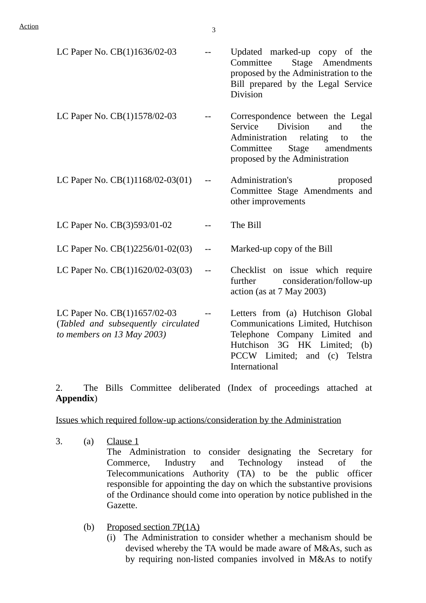| LC Paper No. CB(1)1636/02-03                                                                        |       | Updated marked-up copy of the<br>Stage Amendments<br>Committee<br>proposed by the Administration to the<br>Bill prepared by the Legal Service<br><b>Division</b>                                |
|-----------------------------------------------------------------------------------------------------|-------|-------------------------------------------------------------------------------------------------------------------------------------------------------------------------------------------------|
| LC Paper No. CB(1)1578/02-03                                                                        |       | Correspondence between the Legal<br>Service<br><b>Division</b><br>and<br>the<br>Administration relating to<br>the<br>Committee<br>Stage<br>amendments<br>proposed by the Administration         |
| LC Paper No. $CB(1)1168/02-03(01)$                                                                  |       | Administration's<br>proposed<br>Committee Stage Amendments and<br>other improvements                                                                                                            |
| LC Paper No. CB(3)593/01-02                                                                         |       | The Bill                                                                                                                                                                                        |
| LC Paper No. $CB(1)2256/01-02(03)$                                                                  |       | Marked-up copy of the Bill                                                                                                                                                                      |
| LC Paper No. CB(1)1620/02-03(03)                                                                    | $- -$ | Checklist on issue which require<br>consideration/follow-up<br>further<br>action (as at $7$ May 2003)                                                                                           |
| LC Paper No. CB(1)1657/02-03<br>(Tabled and subsequently circulated<br>to members on $13$ May 2003) | $- -$ | Letters from (a) Hutchison Global<br>Communications Limited, Hutchison<br>Telephone Company Limited<br>and<br>Hutchison 3G HK Limited;<br>(b)<br>PCCW Limited; and (c) Telstra<br>International |

2. The Bills Committee deliberated (Index of proceedings attached at **Appendix**)

Issues which required follow-up actions/consideration by the Administration

- 3. (a) Clause  $1$ The Administration to consider designating the Secretary for Commerce, Industry and Technology instead of the Telecommunications Authority (TA) to be the public officer responsible for appointing the day on which the substantive provisions of the Ordinance should come into operation by notice published in the Gazette.
	- (b) Proposed section 7P(1A)
		- (i) The Administration to consider whether a mechanism should be devised whereby the TA would be made aware of M&As, such as by requiring non-listed companies involved in M&As to notify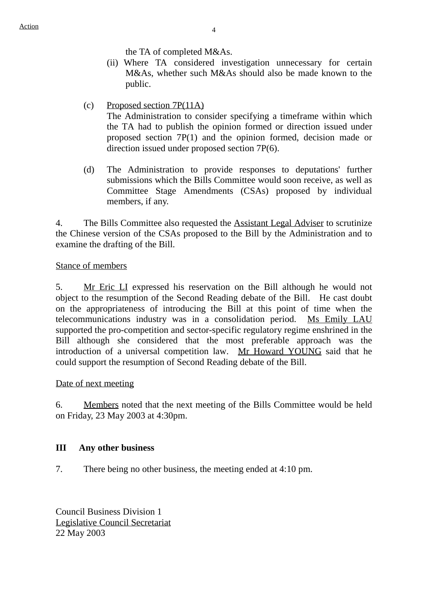the TA of completed M&As.

- (ii) Where TA considered investigation unnecessary for certain M&As, whether such M&As should also be made known to the public.
- (c) Proposed section 7P(11A)

The Administration to consider specifying a timeframe within which the TA had to publish the opinion formed or direction issued under proposed section 7P(1) and the opinion formed, decision made or direction issued under proposed section 7P(6).

(d) The Administration to provide responses to deputations' further submissions which the Bills Committee would soon receive, as well as Committee Stage Amendments (CSAs) proposed by individual members, if any.

4. The Bills Committee also requested the Assistant Legal Adviser to scrutinize the Chinese version of the CSAs proposed to the Bill by the Administration and to examine the drafting of the Bill.

### Stance of members

5. Mr Eric LI expressed his reservation on the Bill although he would not object to the resumption of the Second Reading debate of the Bill. He cast doubt on the appropriateness of introducing the Bill at this point of time when the telecommunications industry was in a consolidation period. Ms Emily LAU supported the pro-competition and sector-specific regulatory regime enshrined in the Bill although she considered that the most preferable approach was the introduction of a universal competition law. Mr Howard YOUNG said that he could support the resumption of Second Reading debate of the Bill.

### Date of next meeting

6. Members noted that the next meeting of the Bills Committee would be held on Friday, 23 May 2003 at 4:30pm.

### **III Any other business**

7. There being no other business, the meeting ended at 4:10 pm.

Council Business Division 1 Legislative Council Secretariat 22 May 2003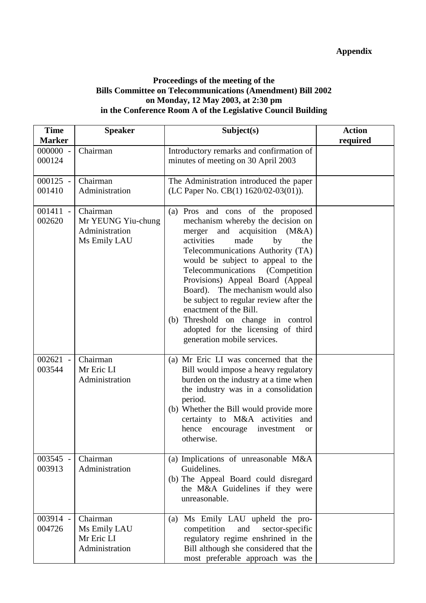## **Proceedings of the meeting of the Bills Committee on Telecommunications (Amendment) Bill 2002 on Monday, 12 May 2003, at 2:30 pm in the Conference Room A of the Legislative Council Building**

| <b>Time</b>               | <b>Speaker</b>     | Subject(s)                                                             | <b>Action</b> |
|---------------------------|--------------------|------------------------------------------------------------------------|---------------|
| <b>Marker</b><br>000000 - | Chairman           | Introductory remarks and confirmation of                               | required      |
| 000124                    |                    | minutes of meeting on 30 April 2003                                    |               |
| $000125 -$                | Chairman           | The Administration introduced the paper                                |               |
| 001410                    | Administration     | (LC Paper No. CB(1) 1620/02-03(01)).                                   |               |
| $001411 -$                | Chairman           | (a) Pros and cons of the proposed                                      |               |
| 002620                    | Mr YEUNG Yiu-chung | mechanism whereby the decision on                                      |               |
|                           | Administration     | merger and acquisition (M&A)                                           |               |
|                           | Ms Emily LAU       | activities<br>made<br>by<br>the                                        |               |
|                           |                    | Telecommunications Authority (TA)<br>would be subject to appeal to the |               |
|                           |                    | Telecommunications<br>(Competition)                                    |               |
|                           |                    | Provisions) Appeal Board (Appeal                                       |               |
|                           |                    | Board). The mechanism would also                                       |               |
|                           |                    | be subject to regular review after the                                 |               |
|                           |                    | enactment of the Bill.                                                 |               |
|                           |                    | (b) Threshold on change in control                                     |               |
|                           |                    | adopted for the licensing of third                                     |               |
|                           |                    | generation mobile services.                                            |               |
| $002621 -$                | Chairman           | (a) Mr Eric LI was concerned that the                                  |               |
| 003544                    | Mr Eric LI         | Bill would impose a heavy regulatory                                   |               |
|                           | Administration     | burden on the industry at a time when                                  |               |
|                           |                    | the industry was in a consolidation                                    |               |
|                           |                    | period.                                                                |               |
|                           |                    | (b) Whether the Bill would provide more                                |               |
|                           |                    | certainty to M&A activities and                                        |               |
|                           |                    | hence encourage<br>investment<br><b>or</b><br>otherwise.               |               |
|                           |                    |                                                                        |               |
| 003545 -                  | Chairman           | (a) Implications of unreasonable M&A                                   |               |
| 003913                    | Administration     | Guidelines.                                                            |               |
|                           |                    | (b) The Appeal Board could disregard                                   |               |
|                           |                    | the M&A Guidelines if they were                                        |               |
|                           |                    | unreasonable.                                                          |               |
| 003914 -                  | Chairman           | Ms Emily LAU upheld the pro-<br>(a)                                    |               |
| 004726                    | Ms Emily LAU       | competition<br>and<br>sector-specific                                  |               |
|                           | Mr Eric LI         | regulatory regime enshrined in the                                     |               |
|                           | Administration     | Bill although she considered that the                                  |               |
|                           |                    | most preferable approach was the                                       |               |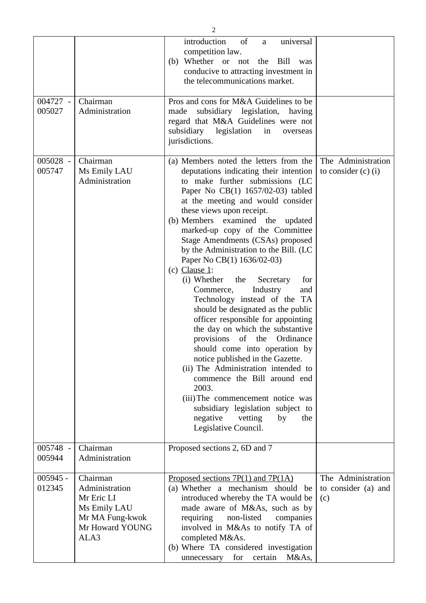|                      |                                                                                                        | introduction<br>of<br>universal<br>a<br>competition law.<br>(b) Whether or not<br>Bill<br>the<br>was<br>conducive to attracting investment in<br>the telecommunications market.                                                                                                                                                                                                                                                                                                                                                                                                                                                                                                                                                                                                                                                                                                                                                                                                            |                                                  |
|----------------------|--------------------------------------------------------------------------------------------------------|--------------------------------------------------------------------------------------------------------------------------------------------------------------------------------------------------------------------------------------------------------------------------------------------------------------------------------------------------------------------------------------------------------------------------------------------------------------------------------------------------------------------------------------------------------------------------------------------------------------------------------------------------------------------------------------------------------------------------------------------------------------------------------------------------------------------------------------------------------------------------------------------------------------------------------------------------------------------------------------------|--------------------------------------------------|
| 004727 -<br>005027   | Chairman<br>Administration                                                                             | Pros and cons for M&A Guidelines to be<br>subsidiary legislation, having<br>made<br>regard that M&A Guidelines were not<br>subsidiary<br>legislation<br>in<br>overseas<br>jurisdictions.                                                                                                                                                                                                                                                                                                                                                                                                                                                                                                                                                                                                                                                                                                                                                                                                   |                                                  |
| 005028 -<br>005747   | Chairman<br>Ms Emily LAU<br>Administration                                                             | (a) Members noted the letters from the<br>deputations indicating their intention<br>to make further submissions (LC<br>Paper No CB(1) 1657/02-03) tabled<br>at the meeting and would consider<br>these views upon receipt.<br>(b) Members examined the<br>updated<br>marked-up copy of the Committee<br>Stage Amendments (CSAs) proposed<br>by the Administration to the Bill. (LC<br>Paper No CB(1) 1636/02-03)<br>$(c)$ Clause 1:<br>(i) Whether<br>the<br>Secretary<br>for<br>Commerce,<br>Industry<br>and<br>Technology instead of the TA<br>should be designated as the public<br>officer responsible for appointing<br>the day on which the substantive<br>of the Ordinance<br>provisions<br>should come into operation by<br>notice published in the Gazette.<br>(ii) The Administration intended to<br>commence the Bill around end<br>2003.<br>(iii) The commencement notice was<br>subsidiary legislation subject to<br>negative<br>by<br>vetting<br>the<br>Legislative Council. | The Administration<br>to consider $(c)$ (i)      |
| 005748 -<br>005944   | Chairman<br>Administration                                                                             | Proposed sections 2, 6D and 7                                                                                                                                                                                                                                                                                                                                                                                                                                                                                                                                                                                                                                                                                                                                                                                                                                                                                                                                                              |                                                  |
| $005945 -$<br>012345 | Chairman<br>Administration<br>Mr Eric LI<br>Ms Emily LAU<br>Mr MA Fung-kwok<br>Mr Howard YOUNG<br>ALA3 | Proposed sections $7P(1)$ and $7P(1A)$<br>(a) Whether a mechanism should be<br>introduced whereby the TA would be<br>made aware of M&As, such as by<br>non-listed<br>requiring<br>companies<br>involved in M&As to notify TA of<br>completed M&As.<br>(b) Where TA considered investigation<br>unnecessary for certain M&As,                                                                                                                                                                                                                                                                                                                                                                                                                                                                                                                                                                                                                                                               | The Administration<br>to consider (a) and<br>(c) |